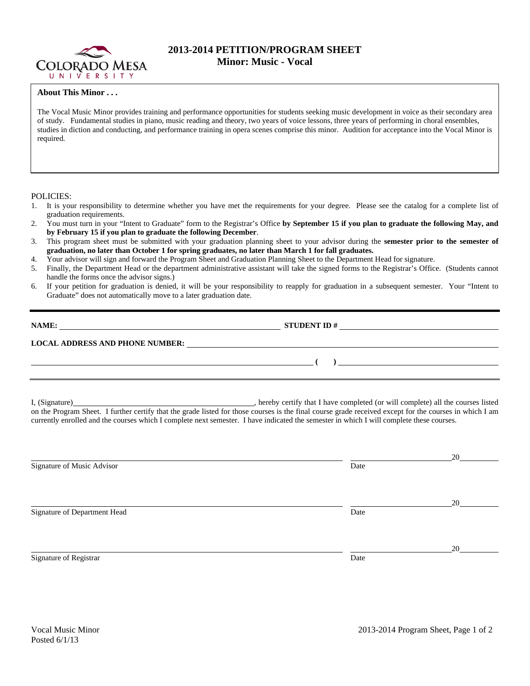

## **2013-2014 PETITION/PROGRAM SHEET Minor: Music - Vocal**

## **About This Minor . . .**

The Vocal Music Minor provides training and performance opportunities for students seeking music development in voice as their secondary area of study. Fundamental studies in piano, music reading and theory, two years of voice lessons, three years of performing in choral ensembles, studies in diction and conducting, and performance training in opera scenes comprise this minor. Audition for acceptance into the Vocal Minor is required.

## POLICIES:

- 1. It is your responsibility to determine whether you have met the requirements for your degree. Please see the catalog for a complete list of graduation requirements.
- 2. You must turn in your "Intent to Graduate" form to the Registrar's Office **by September 15 if you plan to graduate the following May, and by February 15 if you plan to graduate the following December**.
- 3. This program sheet must be submitted with your graduation planning sheet to your advisor during the **semester prior to the semester of graduation, no later than October 1 for spring graduates, no later than March 1 for fall graduates.**
- 4. Your advisor will sign and forward the Program Sheet and Graduation Planning Sheet to the Department Head for signature.
- 5. Finally, the Department Head or the department administrative assistant will take the signed forms to the Registrar's Office. (Students cannot handle the forms once the advisor signs.)
- 6. If your petition for graduation is denied, it will be your responsibility to reapply for graduation in a subsequent semester. Your "Intent to Graduate" does not automatically move to a later graduation date.

| NAME:<br><u>and the state of the state of the state of the state of the state of the state of the state of the state of the state of the state of the state of the state of the state of the state of the state of the state of the state</u> |                                                                                                                        |
|-----------------------------------------------------------------------------------------------------------------------------------------------------------------------------------------------------------------------------------------------|------------------------------------------------------------------------------------------------------------------------|
| <b>LOCAL ADDRESS AND PHONE NUMBER:</b>                                                                                                                                                                                                        | <u> 1989 - John Stein, Amerikaans en beskriuwer om de foarmen in de foarmen in de foarmen in de foarmen in de foar</u> |
|                                                                                                                                                                                                                                               |                                                                                                                        |

I, (Signature) , hereby certify that I have completed (or will complete) all the courses listed on the Program Sheet. I further certify that the grade listed for those courses is the final course grade received except for the courses in which I am currently enrolled and the courses which I complete next semester. I have indicated the semester in which I will complete these courses.

|      | 20 |
|------|----|
| Date |    |
|      |    |
|      | 20 |
| Date |    |
|      |    |
|      | 20 |
| Date |    |
|      |    |